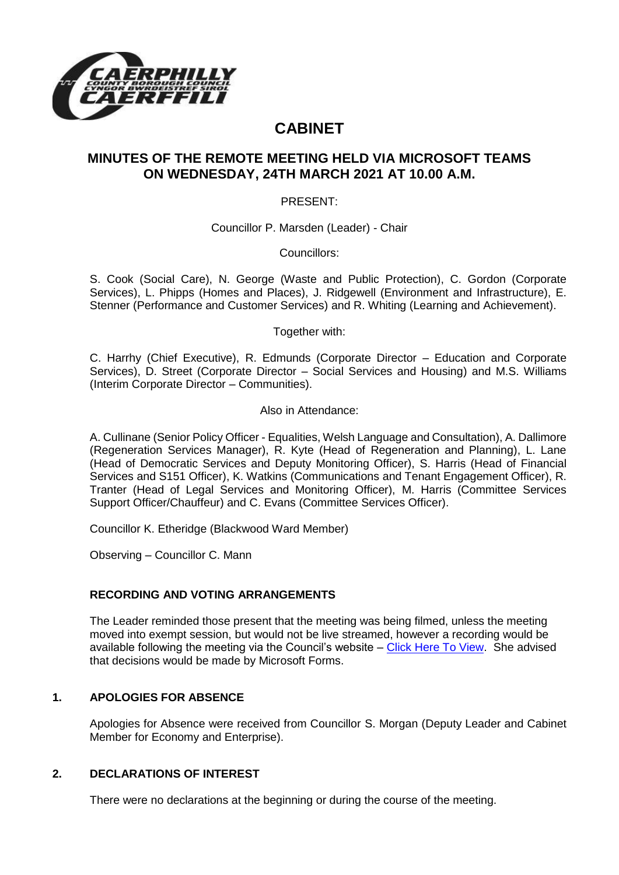

# **CABINET**

# **MINUTES OF THE REMOTE MEETING HELD VIA MICROSOFT TEAMS ON WEDNESDAY, 24TH MARCH 2021 AT 10.00 A.M.**

PRESENT:

Councillor P. Marsden (Leader) - Chair

Councillors:

S. Cook (Social Care), N. George (Waste and Public Protection), C. Gordon (Corporate Services), L. Phipps (Homes and Places), J. Ridgewell (Environment and Infrastructure), E. Stenner (Performance and Customer Services) and R. Whiting (Learning and Achievement).

Together with:

C. Harrhy (Chief Executive), R. Edmunds (Corporate Director – Education and Corporate Services), D. Street (Corporate Director – Social Services and Housing) and M.S. Williams (Interim Corporate Director – Communities).

Also in Attendance:

A. Cullinane (Senior Policy Officer - Equalities, Welsh Language and Consultation), A. Dallimore (Regeneration Services Manager), R. Kyte (Head of Regeneration and Planning), L. Lane (Head of Democratic Services and Deputy Monitoring Officer), S. Harris (Head of Financial Services and S151 Officer), K. Watkins (Communications and Tenant Engagement Officer), R. Tranter (Head of Legal Services and Monitoring Officer), M. Harris (Committee Services Support Officer/Chauffeur) and C. Evans (Committee Services Officer).

Councillor K. Etheridge (Blackwood Ward Member)

Observing – Councillor C. Mann

### **RECORDING AND VOTING ARRANGEMENTS**

The Leader reminded those present that the meeting was being filmed, unless the meeting moved into exempt session, but would not be live streamed, however a recording would be available following the meeting via the Council's website – [Click Here To View.](https://www.caerphilly.gov.uk/My-Council/Meetings,-agendas,-minutes-and-reports/Council-meetings) She advised that decisions would be made by Microsoft Forms.

# **1. APOLOGIES FOR ABSENCE**

Apologies for Absence were received from Councillor S. Morgan (Deputy Leader and Cabinet Member for Economy and Enterprise).

# **2. DECLARATIONS OF INTEREST**

There were no declarations at the beginning or during the course of the meeting.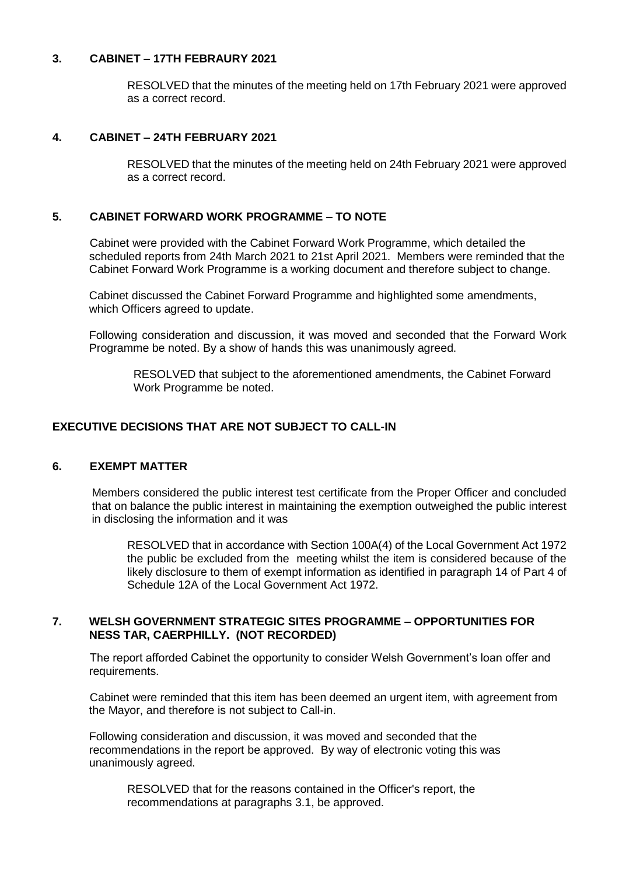#### **3. CABINET – 17TH FEBRAURY 2021**

RESOLVED that the minutes of the meeting held on 17th February 2021 were approved as a correct record.

#### **4. CABINET – 24TH FEBRUARY 2021**

RESOLVED that the minutes of the meeting held on 24th February 2021 were approved as a correct record.

#### **5. CABINET FORWARD WORK PROGRAMME – TO NOTE**

Cabinet were provided with the Cabinet Forward Work Programme, which detailed the scheduled reports from 24th March 2021 to 21st April 2021. Members were reminded that the Cabinet Forward Work Programme is a working document and therefore subject to change.

Cabinet discussed the Cabinet Forward Programme and highlighted some amendments, which Officers agreed to update.

Following consideration and discussion, it was moved and seconded that the Forward Work Programme be noted. By a show of hands this was unanimously agreed.

RESOLVED that subject to the aforementioned amendments, the Cabinet Forward Work Programme be noted.

#### **EXECUTIVE DECISIONS THAT ARE NOT SUBJECT TO CALL-IN**

#### **6. EXEMPT MATTER**

Members considered the public interest test certificate from the Proper Officer and concluded that on balance the public interest in maintaining the exemption outweighed the public interest in disclosing the information and it was

RESOLVED that in accordance with Section 100A(4) of the Local Government Act 1972 the public be excluded from the meeting whilst the item is considered because of the likely disclosure to them of exempt information as identified in paragraph 14 of Part 4 of Schedule 12A of the Local Government Act 1972.

#### **7. WELSH GOVERNMENT STRATEGIC SITES PROGRAMME – OPPORTUNITIES FOR NESS TAR, CAERPHILLY. (NOT RECORDED)**

The report afforded Cabinet the opportunity to consider Welsh Government's loan offer and requirements.

Cabinet were reminded that this item has been deemed an urgent item, with agreement from the Mayor, and therefore is not subject to Call-in.

Following consideration and discussion, it was moved and seconded that the recommendations in the report be approved. By way of electronic voting this was unanimously agreed.

RESOLVED that for the reasons contained in the Officer's report, the recommendations at paragraphs 3.1, be approved.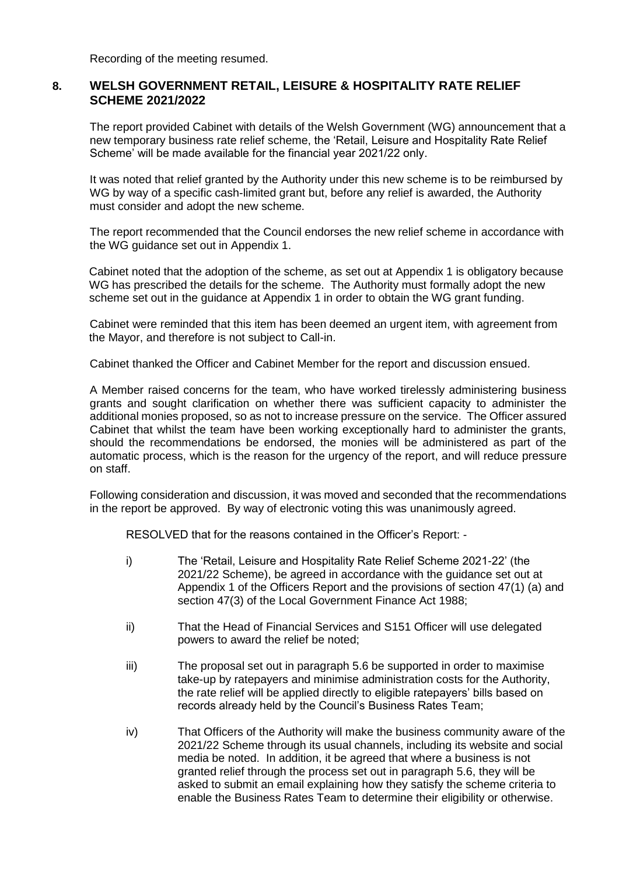Recording of the meeting resumed.

## **8. WELSH GOVERNMENT RETAIL, LEISURE & HOSPITALITY RATE RELIEF SCHEME 2021/2022**

The report provided Cabinet with details of the Welsh Government (WG) announcement that a new temporary business rate relief scheme, the 'Retail, Leisure and Hospitality Rate Relief Scheme' will be made available for the financial year 2021/22 only.

It was noted that relief granted by the Authority under this new scheme is to be reimbursed by WG by way of a specific cash-limited grant but, before any relief is awarded, the Authority must consider and adopt the new scheme.

The report recommended that the Council endorses the new relief scheme in accordance with the WG guidance set out in Appendix 1.

Cabinet noted that the adoption of the scheme, as set out at Appendix 1 is obligatory because WG has prescribed the details for the scheme. The Authority must formally adopt the new scheme set out in the guidance at Appendix 1 in order to obtain the WG grant funding.

Cabinet were reminded that this item has been deemed an urgent item, with agreement from the Mayor, and therefore is not subject to Call-in.

Cabinet thanked the Officer and Cabinet Member for the report and discussion ensued.

A Member raised concerns for the team, who have worked tirelessly administering business grants and sought clarification on whether there was sufficient capacity to administer the additional monies proposed, so as not to increase pressure on the service. The Officer assured Cabinet that whilst the team have been working exceptionally hard to administer the grants, should the recommendations be endorsed, the monies will be administered as part of the automatic process, which is the reason for the urgency of the report, and will reduce pressure on staff.

Following consideration and discussion, it was moved and seconded that the recommendations in the report be approved. By way of electronic voting this was unanimously agreed.

RESOLVED that for the reasons contained in the Officer's Report: -

- i) The 'Retail, Leisure and Hospitality Rate Relief Scheme 2021-22' (the 2021/22 Scheme), be agreed in accordance with the guidance set out at Appendix 1 of the Officers Report and the provisions of section 47(1) (a) and section 47(3) of the Local Government Finance Act 1988;
- ii) That the Head of Financial Services and S151 Officer will use delegated powers to award the relief be noted;
- iii) The proposal set out in paragraph 5.6 be supported in order to maximise take-up by ratepayers and minimise administration costs for the Authority, the rate relief will be applied directly to eligible ratepayers' bills based on records already held by the Council's Business Rates Team;
- iv) That Officers of the Authority will make the business community aware of the 2021/22 Scheme through its usual channels, including its website and social media be noted. In addition, it be agreed that where a business is not granted relief through the process set out in paragraph 5.6, they will be asked to submit an email explaining how they satisfy the scheme criteria to enable the Business Rates Team to determine their eligibility or otherwise.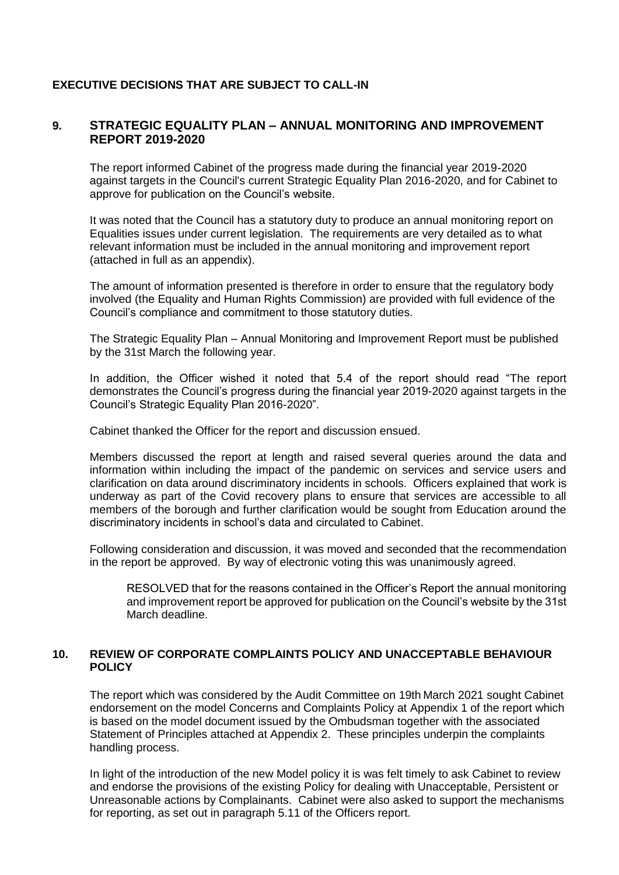# **EXECUTIVE DECISIONS THAT ARE SUBJECT TO CALL-IN**

# **9. STRATEGIC EQUALITY PLAN – ANNUAL MONITORING AND IMPROVEMENT REPORT 2019-2020**

The report informed Cabinet of the progress made during the financial year 2019-2020 against targets in the Council's current Strategic Equality Plan 2016-2020, and for Cabinet to approve for publication on the Council's website.

It was noted that the Council has a statutory duty to produce an annual monitoring report on Equalities issues under current legislation. The requirements are very detailed as to what relevant information must be included in the annual monitoring and improvement report (attached in full as an appendix).

The amount of information presented is therefore in order to ensure that the regulatory body involved (the Equality and Human Rights Commission) are provided with full evidence of the Council's compliance and commitment to those statutory duties.

The Strategic Equality Plan – Annual Monitoring and Improvement Report must be published by the 31st March the following year.

In addition, the Officer wished it noted that 5.4 of the report should read "The report demonstrates the Council's progress during the financial year 2019-2020 against targets in the Council's Strategic Equality Plan 2016-2020".

Cabinet thanked the Officer for the report and discussion ensued.

Members discussed the report at length and raised several queries around the data and information within including the impact of the pandemic on services and service users and clarification on data around discriminatory incidents in schools. Officers explained that work is underway as part of the Covid recovery plans to ensure that services are accessible to all members of the borough and further clarification would be sought from Education around the discriminatory incidents in school's data and circulated to Cabinet.

Following consideration and discussion, it was moved and seconded that the recommendation in the report be approved. By way of electronic voting this was unanimously agreed.

RESOLVED that for the reasons contained in the Officer's Report the annual monitoring and improvement report be approved for publication on the Council's website by the 31st March deadline.

### **10. REVIEW OF CORPORATE COMPLAINTS POLICY AND UNACCEPTABLE BEHAVIOUR POLICY**

The report which was considered by the Audit Committee on 19th March 2021 sought Cabinet endorsement on the model Concerns and Complaints Policy at Appendix 1 of the report which is based on the model document issued by the Ombudsman together with the associated Statement of Principles attached at Appendix 2. These principles underpin the complaints handling process.

In light of the introduction of the new Model policy it is was felt timely to ask Cabinet to review and endorse the provisions of the existing Policy for dealing with Unacceptable, Persistent or Unreasonable actions by Complainants. Cabinet were also asked to support the mechanisms for reporting, as set out in paragraph 5.11 of the Officers report.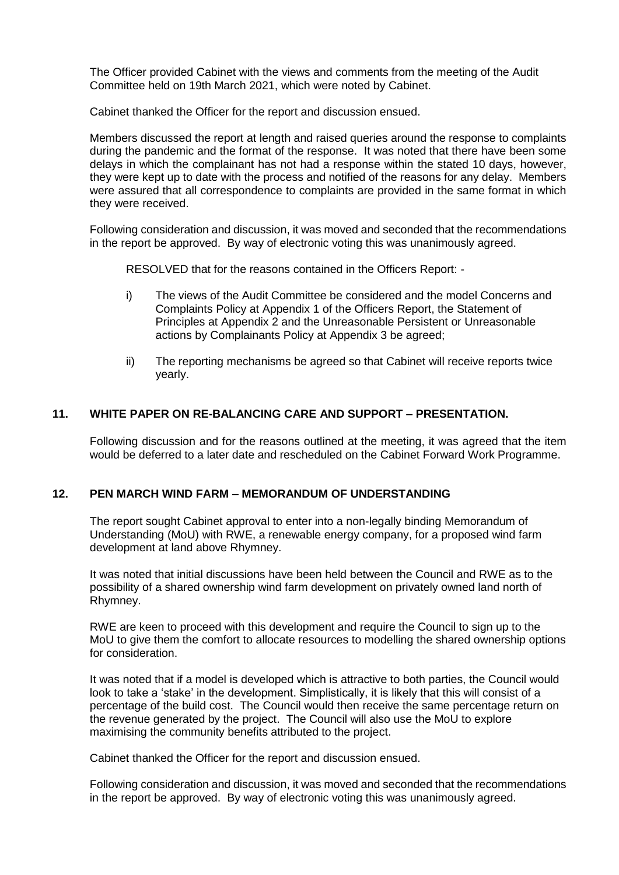The Officer provided Cabinet with the views and comments from the meeting of the Audit Committee held on 19th March 2021, which were noted by Cabinet.

Cabinet thanked the Officer for the report and discussion ensued.

Members discussed the report at length and raised queries around the response to complaints during the pandemic and the format of the response. It was noted that there have been some delays in which the complainant has not had a response within the stated 10 days, however, they were kept up to date with the process and notified of the reasons for any delay. Members were assured that all correspondence to complaints are provided in the same format in which they were received.

Following consideration and discussion, it was moved and seconded that the recommendations in the report be approved. By way of electronic voting this was unanimously agreed.

RESOLVED that for the reasons contained in the Officers Report: -

- i) The views of the Audit Committee be considered and the model Concerns and Complaints Policy at Appendix 1 of the Officers Report, the Statement of Principles at Appendix 2 and the Unreasonable Persistent or Unreasonable actions by Complainants Policy at Appendix 3 be agreed;
- ii) The reporting mechanisms be agreed so that Cabinet will receive reports twice yearly.

## **11. WHITE PAPER ON RE-BALANCING CARE AND SUPPORT – PRESENTATION.**

Following discussion and for the reasons outlined at the meeting, it was agreed that the item would be deferred to a later date and rescheduled on the Cabinet Forward Work Programme.

### **12. PEN MARCH WIND FARM – MEMORANDUM OF UNDERSTANDING**

The report sought Cabinet approval to enter into a non-legally binding Memorandum of Understanding (MoU) with RWE, a renewable energy company, for a proposed wind farm development at land above Rhymney.

It was noted that initial discussions have been held between the Council and RWE as to the possibility of a shared ownership wind farm development on privately owned land north of Rhymney.

RWE are keen to proceed with this development and require the Council to sign up to the MoU to give them the comfort to allocate resources to modelling the shared ownership options for consideration.

It was noted that if a model is developed which is attractive to both parties, the Council would look to take a 'stake' in the development. Simplistically, it is likely that this will consist of a percentage of the build cost. The Council would then receive the same percentage return on the revenue generated by the project. The Council will also use the MoU to explore maximising the community benefits attributed to the project.

Cabinet thanked the Officer for the report and discussion ensued.

Following consideration and discussion, it was moved and seconded that the recommendations in the report be approved. By way of electronic voting this was unanimously agreed.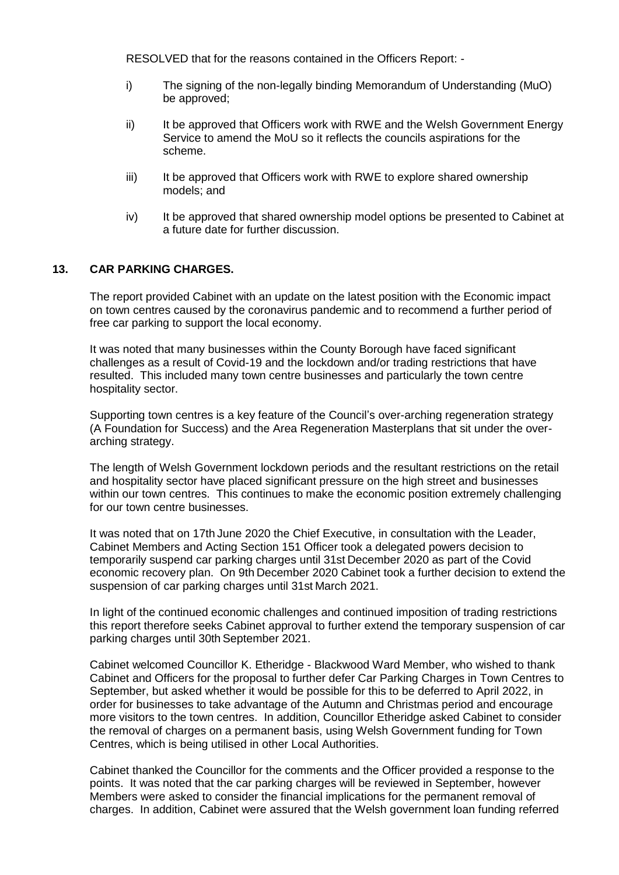RESOLVED that for the reasons contained in the Officers Report: -

- i) The signing of the non-legally binding Memorandum of Understanding (MuO) be approved;
- ii) It be approved that Officers work with RWE and the Welsh Government Energy Service to amend the MoU so it reflects the councils aspirations for the scheme.
- iii) It be approved that Officers work with RWE to explore shared ownership models; and
- iv) It be approved that shared ownership model options be presented to Cabinet at a future date for further discussion.

### **13. CAR PARKING CHARGES.**

The report provided Cabinet with an update on the latest position with the Economic impact on town centres caused by the coronavirus pandemic and to recommend a further period of free car parking to support the local economy.

It was noted that many businesses within the County Borough have faced significant challenges as a result of Covid-19 and the lockdown and/or trading restrictions that have resulted. This included many town centre businesses and particularly the town centre hospitality sector.

Supporting town centres is a key feature of the Council's over-arching regeneration strategy (A Foundation for Success) and the Area Regeneration Masterplans that sit under the overarching strategy.

The length of Welsh Government lockdown periods and the resultant restrictions on the retail and hospitality sector have placed significant pressure on the high street and businesses within our town centres. This continues to make the economic position extremely challenging for our town centre businesses.

It was noted that on 17th June 2020 the Chief Executive, in consultation with the Leader, Cabinet Members and Acting Section 151 Officer took a delegated powers decision to temporarily suspend car parking charges until 31st December 2020 as part of the Covid economic recovery plan. On 9th December 2020 Cabinet took a further decision to extend the suspension of car parking charges until 31st March 2021.

In light of the continued economic challenges and continued imposition of trading restrictions this report therefore seeks Cabinet approval to further extend the temporary suspension of car parking charges until 30th September 2021.

Cabinet welcomed Councillor K. Etheridge - Blackwood Ward Member, who wished to thank Cabinet and Officers for the proposal to further defer Car Parking Charges in Town Centres to September, but asked whether it would be possible for this to be deferred to April 2022, in order for businesses to take advantage of the Autumn and Christmas period and encourage more visitors to the town centres. In addition, Councillor Etheridge asked Cabinet to consider the removal of charges on a permanent basis, using Welsh Government funding for Town Centres, which is being utilised in other Local Authorities.

Cabinet thanked the Councillor for the comments and the Officer provided a response to the points. It was noted that the car parking charges will be reviewed in September, however Members were asked to consider the financial implications for the permanent removal of charges. In addition, Cabinet were assured that the Welsh government loan funding referred